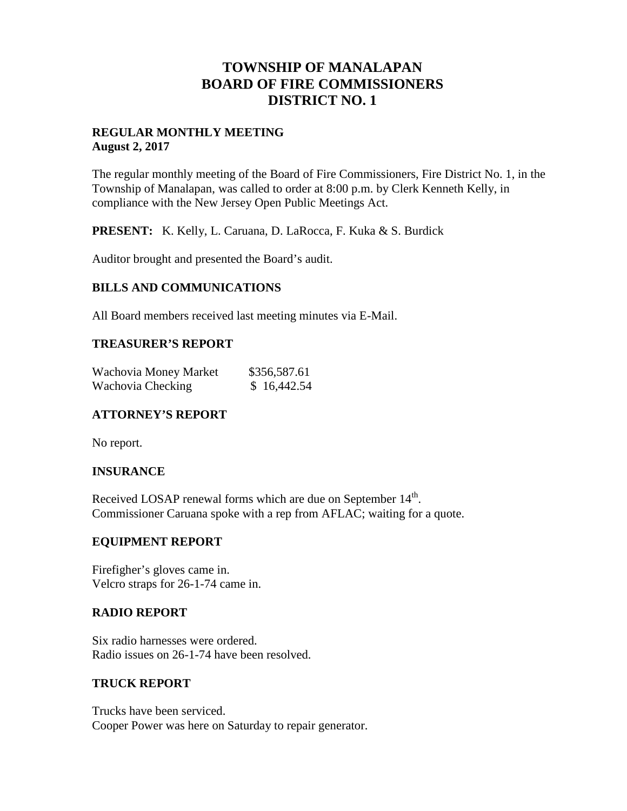## **TOWNSHIP OF MANALAPAN BOARD OF FIRE COMMISSIONERS DISTRICT NO. 1**

#### **REGULAR MONTHLY MEETING August 2, 2017**

The regular monthly meeting of the Board of Fire Commissioners, Fire District No. 1, in the Township of Manalapan, was called to order at 8:00 p.m. by Clerk Kenneth Kelly, in compliance with the New Jersey Open Public Meetings Act.

**PRESENT:** K. Kelly, L. Caruana, D. LaRocca, F. Kuka & S. Burdick

Auditor brought and presented the Board's audit.

#### **BILLS AND COMMUNICATIONS**

All Board members received last meeting minutes via E-Mail.

#### **TREASURER'S REPORT**

| Wachovia Money Market | \$356,587.61 |
|-----------------------|--------------|
| Wachovia Checking     | \$16,442.54  |

### **ATTORNEY'S REPORT**

No report.

#### **INSURANCE**

Received LOSAP renewal forms which are due on September  $14<sup>th</sup>$ . Commissioner Caruana spoke with a rep from AFLAC; waiting for a quote.

#### **EQUIPMENT REPORT**

Firefigher's gloves came in. Velcro straps for 26-1-74 came in.

#### **RADIO REPORT**

Six radio harnesses were ordered. Radio issues on 26-1-74 have been resolved.

#### **TRUCK REPORT**

Trucks have been serviced. Cooper Power was here on Saturday to repair generator.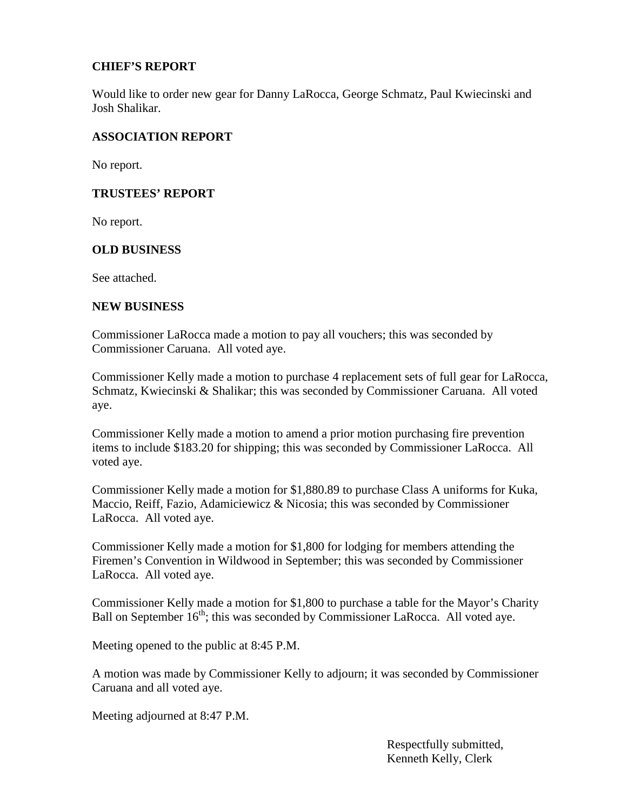### **CHIEF'S REPORT**

Would like to order new gear for Danny LaRocca, George Schmatz, Paul Kwiecinski and Josh Shalikar.

#### **ASSOCIATION REPORT**

No report.

#### **TRUSTEES' REPORT**

No report.

#### **OLD BUSINESS**

See attached.

#### **NEW BUSINESS**

Commissioner LaRocca made a motion to pay all vouchers; this was seconded by Commissioner Caruana. All voted aye.

Commissioner Kelly made a motion to purchase 4 replacement sets of full gear for LaRocca, Schmatz, Kwiecinski & Shalikar; this was seconded by Commissioner Caruana. All voted aye.

Commissioner Kelly made a motion to amend a prior motion purchasing fire prevention items to include \$183.20 for shipping; this was seconded by Commissioner LaRocca. All voted aye.

Commissioner Kelly made a motion for \$1,880.89 to purchase Class A uniforms for Kuka, Maccio, Reiff, Fazio, Adamiciewicz  $\&$  Nicosia; this was seconded by Commissioner LaRocca. All voted aye.

Commissioner Kelly made a motion for \$1,800 for lodging for members attending the Firemen's Convention in Wildwood in September; this was seconded by Commissioner LaRocca. All voted aye.

Commissioner Kelly made a motion for \$1,800 to purchase a table for the Mayor's Charity Ball on September  $16<sup>th</sup>$ ; this was seconded by Commissioner LaRocca. All voted aye.

Meeting opened to the public at 8:45 P.M.

A motion was made by Commissioner Kelly to adjourn; it was seconded by Commissioner Caruana and all voted aye.

Meeting adjourned at 8:47 P.M.

Respectfully submitted, Kenneth Kelly, Clerk